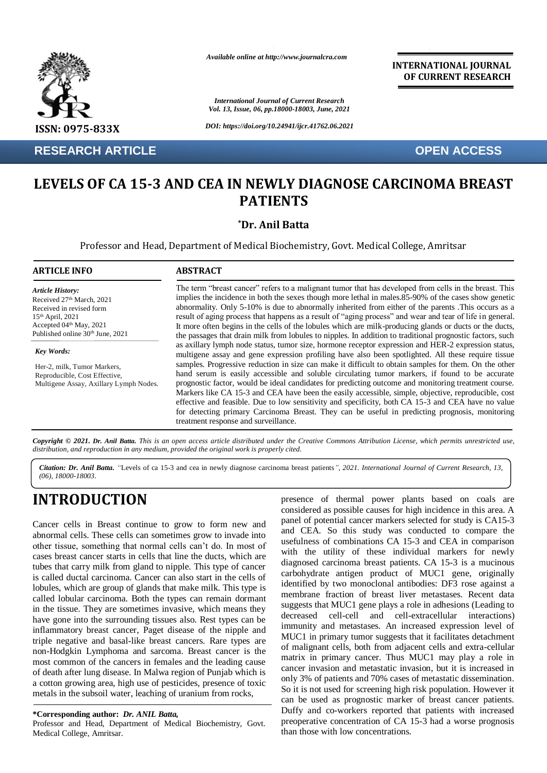

**RESEARCH ARTICLE OPEN ACCESS**

*Available online at http://www.journalcra.com*

*International Journal of Current Research Vol. 13, Issue, 06, pp.18000-18003, June, 2021*

*DOI: https://doi.org/10.24941/ijcr.41762.06.2021*

**INTERNATIONAL JOURNAL OF CURRENT RESEARCH**

## **LEVELS OF CA 15-3 AND CEA IN NEWLY DIAGNOSE CARCINOMA BREAST PATIENTS**

**\*Dr. Anil Batta**

Professor and Head, Department of Medical Biochemistry, Govt. Medical College, Amritsar

| <b>ARTICLE INFO</b>                                                                                                                                                   | <b>ABSTRACT</b>                                                                                                                                                                                                                                                                                                                                                                                                                                                                                                                                                                                                                                                                                                                                                                                                                                                                     |
|-----------------------------------------------------------------------------------------------------------------------------------------------------------------------|-------------------------------------------------------------------------------------------------------------------------------------------------------------------------------------------------------------------------------------------------------------------------------------------------------------------------------------------------------------------------------------------------------------------------------------------------------------------------------------------------------------------------------------------------------------------------------------------------------------------------------------------------------------------------------------------------------------------------------------------------------------------------------------------------------------------------------------------------------------------------------------|
| <b>Article History:</b><br>Received 27th March, 2021<br>Received in revised form<br>$15th$ April, 2021<br>Accepted 04th May, 2021<br>Published online 30th June, 2021 | The term "breast cancer" refers to a malignant tumor that has developed from cells in the breast. This<br>implies the incidence in both the sexes though more lethal in males.85-90% of the cases show genetic<br>abnormality. Only 5-10% is due to abnormally inherited from either of the parents. This occurs as a<br>result of aging process that happens as a result of "aging process" and wear and tear of life in general.<br>It more often begins in the cells of the lobules which are milk-producing glands or ducts or the ducts,<br>the passages that drain milk from lobules to nipples. In addition to traditional prognostic factors, such                                                                                                                                                                                                                          |
| Key Words:<br>Her-2, milk, Tumor Markers,<br>Reproducible, Cost Effective,<br>Multigene Assay, Axillary Lymph Nodes.                                                  | as axillary lymph node status, tumor size, hormone receptor expression and HER-2 expression status,<br>multigene assay and gene expression profiling have also been spotlighted. All these require tissue<br>samples. Progressive reduction in size can make it difficult to obtain samples for them. On the other<br>hand serum is easily accessible and soluble circulating tumor markers, if found to be accurate<br>prognostic factor, would be ideal candidates for predicting outcome and monitoring treatment course.<br>Markers like CA 15-3 and CEA have been the easily accessible, simple, objective, reproducible, cost<br>effective and feasible. Due to low sensitivity and specificity, both CA 15-3 and CEA have no value<br>for detecting primary Carcinoma Breast. They can be useful in predicting prognosis, monitoring<br>treatment response and surveillance. |

Copyright © 2021. Dr. Anil Batta. This is an open access article distributed under the Creative Commons Attribution License, which permits unrestricted use, *distribution, and reproduction in any medium, provided the original work is properly cited.*

*Citation: Dr. Anil Batta. "*Levels of ca 15-3 and cea in newly diagnose carcinoma breast patients*", 2021. International Journal of Current Research, 13, (06), 18000-18003.*

# **INTRODUCTION**

Cancer cells in Breast continue to grow to form new and abnormal cells. These cells can sometimes grow to invade into other tissue, something that normal cells can't do. In most of cases breast cancer starts in cells that line the ducts, which are tubes that carry milk from gland to nipple. This type of cancer is called ductal carcinoma. Cancer can also start in the cells of lobules, which are group of glands that make milk. This type is called lobular carcinoma. Both the types can remain dormant in the tissue. They are sometimes invasive, which means they have gone into the surrounding tissues also. Rest types can be inflammatory breast cancer, Paget disease of the nipple and triple negative and basal-like breast cancers. Rare types are non-Hodgkin Lymphoma and sarcoma. Breast cancer is the most common of the cancers in females and the leading cause of death after lung disease. In Malwa region of Punjab which is a cotton growing area, high use of pesticides, presence of toxic metals in the subsoil water, leaching of uranium from rocks,

**\*Corresponding author:** *Dr. ANIL Batta,*

Professor and Head, Department of Medical Biochemistry, Govt. Medical College, Amritsar.

presence of thermal power plants based on coals are considered as possible causes for high incidence in this area. A panel of potential cancer markers selected for study is CA15-3 and CEA. So this study was conducted to compare the usefulness of combinations CA 15-3 and CEA in comparison with the utility of these individual markers for newly diagnosed carcinoma breast patients. CA 15-3 is a mucinous carbohydrate antigen product of MUC1 gene, originally identified by two monoclonal antibodies: DF3 rose against a membrane fraction of breast liver metastases. Recent data suggests that MUC1 gene plays a role in adhesions (Leading to decreased cell-cell and cell-extracellular interactions) immunity and metastases. An increased expression level of MUC1 in primary tumor suggests that it facilitates detachment of malignant cells, both from adjacent cells and extra-cellular matrix in primary cancer. Thus MUC1 may play a role in cancer invasion and metastatic invasion, but it is increased in only 3% of patients and 70% cases of metastatic dissemination. So it is not used for screening high risk population. However it can be used as prognostic marker of breast cancer patients. Duffy and co-workers reported that patients with increased preoperative concentration of CA 15-3 had a worse prognosis than those with low concentrations.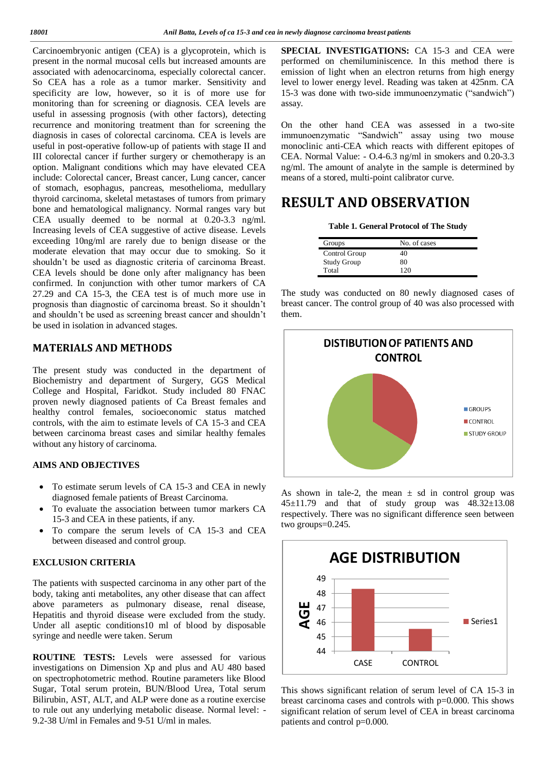Carcinoembryonic antigen (CEA) is a glycoprotein, which is present in the normal mucosal cells but increased amounts are associated with adenocarcinoma, especially colorectal cancer. So CEA has a role as a tumor marker. Sensitivity and specificity are low, however, so it is of more use for monitoring than for screening or diagnosis. CEA levels are useful in assessing prognosis (with other factors), detecting recurrence and monitoring treatment than for screening the diagnosis in cases of colorectal carcinoma. CEA is levels are useful in post-operative follow-up of patients with stage II and III colorectal cancer if further surgery or chemotherapy is an option. Malignant conditions which may have elevated CEA include: Colorectal cancer, Breast cancer, Lung cancer, cancer of stomach, esophagus, pancreas, mesothelioma, medullary thyroid carcinoma, skeletal metastases of tumors from primary bone and hematological malignancy. Normal ranges vary but CEA usually deemed to be normal at 0.20-3.3 ng/ml. Increasing levels of CEA suggestive of active disease. Levels exceeding 10ng/ml are rarely due to benign disease or the moderate elevation that may occur due to smoking. So it shouldn't be used as diagnostic criteria of carcinoma Breast. CEA levels should be done only after malignancy has been confirmed. In conjunction with other tumor markers of CA 27.29 and CA 15-3, the CEA test is of much more use in prognosis than diagnostic of carcinoma breast. So it shouldn't and shouldn't be used as screening breast cancer and shouldn't be used in isolation in advanced stages.

### **MATERIALS AND METHODS**

The present study was conducted in the department of Biochemistry and department of Surgery, GGS Medical College and Hospital, Faridkot. Study included 80 FNAC proven newly diagnosed patients of Ca Breast females and healthy control females, socioeconomic status matched controls, with the aim to estimate levels of CA 15-3 and CEA between carcinoma breast cases and similar healthy females without any history of carcinoma.

#### **AIMS AND OBJECTIVES**

- To estimate serum levels of CA 15-3 and CEA in newly diagnosed female patients of Breast Carcinoma.
- To evaluate the association between tumor markers CA 15-3 and CEA in these patients, if any.
- To compare the serum levels of CA 15-3 and CEA between diseased and control group.

### **EXCLUSION CRITERIA**

The patients with suspected carcinoma in any other part of the body, taking anti metabolites, any other disease that can affect above parameters as pulmonary disease, renal disease, Hepatitis and thyroid disease were excluded from the study. Under all aseptic conditions10 ml of blood by disposable syringe and needle were taken. Serum

**ROUTINE TESTS:** Levels were assessed for various investigations on Dimension Xp and plus and AU 480 based on spectrophotometric method. Routine parameters like Blood Sugar, Total serum protein, BUN/Blood Urea, Total serum Bilirubin, AST, ALT, and ALP were done as a routine exercise to rule out any underlying metabolic disease. Normal level: - 9.2-38 U/ml in Females and 9-51 U/ml in males.

**SPECIAL INVESTIGATIONS:** CA 15-3 and CEA were performed on chemiluminiscence. In this method there is emission of light when an electron returns from high energy level to lower energy level. Reading was taken at 425nm. CA 15-3 was done with two-side immunoenzymatic ("sandwich") assay.

On the other hand CEA was assessed in a two-site immunoenzymatic "Sandwich" assay using two mouse monoclinic anti-CEA which reacts with different epitopes of CEA. Normal Value: - O.4-6.3 ng/ml in smokers and 0.20-3.3 ng/ml. The amount of analyte in the sample is determined by means of a stored, multi-point calibrator curve.

### **RESULT AND OBSERVATION**

| Table 1. General Protocol of The Study |
|----------------------------------------|
|----------------------------------------|

| Groups             | No. of cases |
|--------------------|--------------|
| Control Group      | 40           |
| <b>Study Group</b> | 80           |
| Total              |              |

The study was conducted on 80 newly diagnosed cases of breast cancer. The control group of 40 was also processed with them.



As shown in tale-2, the mean  $\pm$  sd in control group was  $45\pm11.79$  and that of study group was  $48.32\pm13.08$ respectively. There was no significant difference seen between two groups=0.245.



This shows significant relation of serum level of CA 15-3 in breast carcinoma cases and controls with p=0.000. This shows significant relation of serum level of CEA in breast carcinoma patients and control p=0.000.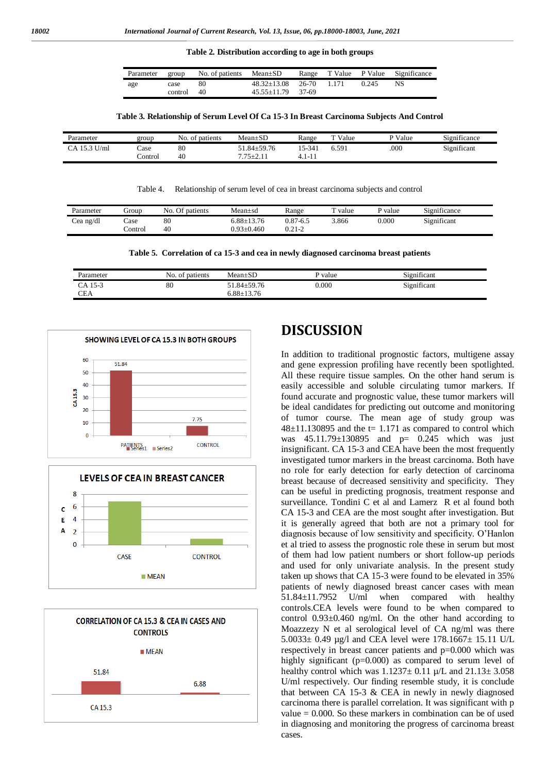**Table 2. Distribution according to age in both groups**

| Parameter group |            | No. of patients $Mean \pm SD$ |                               |  |       | Range T Value P Value Significance |
|-----------------|------------|-------------------------------|-------------------------------|--|-------|------------------------------------|
| age             | case       | 80                            | $48.32 \pm 13.08$ 26-70 1.171 |  | 0.245 | NS.                                |
|                 | control 40 |                               | $45.55+11.79$ 37-69           |  |       |                                    |

#### **Table 3. Relationship of Serum Level Of Ca 15-3 In Breast Carcinoma Subjects And Control**

| Parameter         | group   | No.<br>of patients | $Mean \pm SD$   | Range       | T Value | P Value | $\cdot$<br>$\sim$<br>Significance |
|-------------------|---------|--------------------|-----------------|-------------|---------|---------|-----------------------------------|
| U/ml<br>153<br>CΔ | Case    | $_{\rm 80}$        | $.84 \pm 59.76$ | 15-341      | 6.591   | .000    | Significant                       |
|                   | `ontrol | 40                 | $775+7$<br>. 1  | .<br>-<br>. |         |         |                                   |

Table 4. Relationship of serum level of cea in breast carcinoma subjects and control

| Parameter | Group    | No. Of patients | Mean±sd          | Range      | d value | P value   | Significance |
|-----------|----------|-----------------|------------------|------------|---------|-----------|--------------|
| Cea ng/dl | case     | 80              | $5.88 \pm 13.76$ | 0.87-6.5   | 3.866   | $0.000\,$ | Significant  |
|           | control. | 40              | $0.93 \pm 0.460$ | $0.21 - 2$ |         |           |              |

**Table 5. Correlation of ca 15-3 and cea in newly diagnosed carcinoma breast patients**

| Parameter | patients<br>No.<br>- OT | $Mean \pm SL$   | P value | $\cdot$<br>n.<br>Significant |
|-----------|-------------------------|-----------------|---------|------------------------------|
| CA 15-3   | 80                      | $.84 \pm 59.76$ | 0.000   | Significant                  |
| CEA       |                         | $.88 \pm 13.76$ |         |                              |







### **DISCUSSION**

In addition to traditional prognostic factors, multigene assay and gene expression profiling have recently been spotlighted. All these require tissue samples. On the other hand serum is easily accessible and soluble circulating tumor markers. If found accurate and prognostic value, these tumor markers will be ideal candidates for predicting out outcome and monitoring of tumor course. The mean age of study group was  $48±11.130895$  and the t= 1.171 as compared to control which was 45.11.79±130895 and p= 0.245 which was just insignificant. CA 15-3 and CEA have been the most frequently investigated tumor markers in the breast carcinoma. Both have no role for early detection for early detection of carcinoma breast because of decreased sensitivity and specificity. They can be useful in predicting prognosis, treatment response and surveillance. Tondini C et al and Lamerz R et al found both CA 15-3 and CEA are the most sought after investigation. But it is generally agreed that both are not a primary tool for diagnosis because of low sensitivity and specificity. O'Hanlon et al tried to assess the prognostic role these in serum but most of them had low patient numbers or short follow-up periods and used for only univariate analysis. In the present study taken up shows that CA 15-3 were found to be elevated in 35% patients of newly diagnosed breast cancer cases with mean 51.84±11.7952 U/ml when compared with healthy controls.CEA levels were found to be when compared to control 0.93±0.460 ng/ml. On the other hand according to Moazzezy N et al serological level of CA ng/ml was there 5.0033± 0.49 µg/l and CEA level were 178.1667± 15.11 U/L respectively in breast cancer patients and p=0.000 which was highly significant (p=0.000) as compared to serum level of healthy control which was  $1.1237 \pm 0.11$   $\mu$ /L and  $21.13 \pm 3.058$ U/ml respectively. Our finding resemble study, it is conclude that between CA 15-3  $&$  CEA in newly in newly diagnosed carcinoma there is parallel correlation. It was significant with p value  $= 0.000$ . So these markers in combination can be of used in diagnosing and monitoring the progress of carcinoma breast cases.